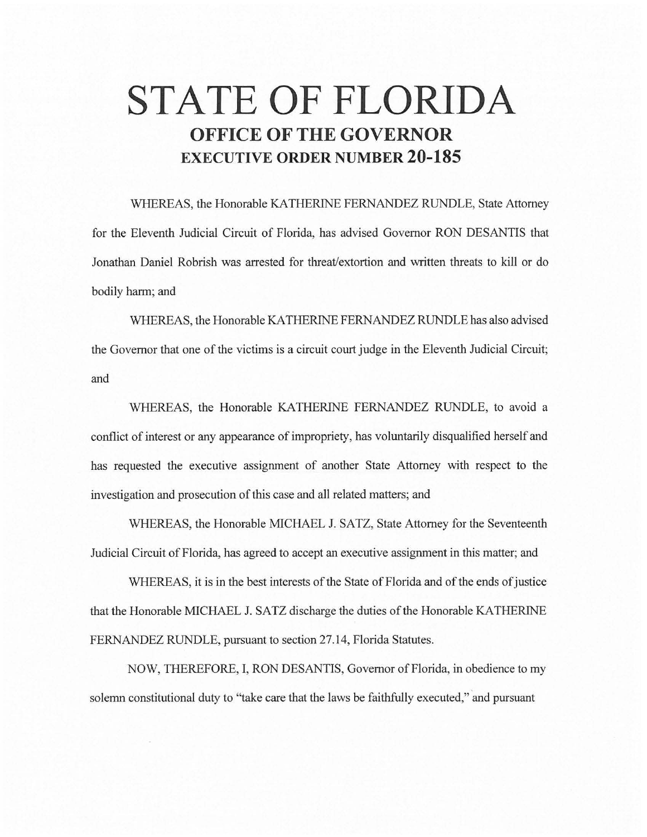# **STATE OF FLORIDA OFFICE OF THE GOVERNOR EXECUTIVE ORDER NUMBER 20-185**

WHEREAS, the Honorable KA THERINE FERNANDEZ RUNDLE, State Attorney for the Eleventh Judicial Circuit of Florida, has advised Governor RON DESANTIS that Jonathan Daniel Robrish was arrested for threat/extortion and written threats to kill or do bodily harm; and

WHEREAS, the Honorable KA THERINE FERNANDEZ RUNDLE has also advised the Governor that one of the victims is a circuit court judge in the Eleventh Judicial Circuit; and

WHEREAS, the Honorable KATHERINE FERNANDEZ RUNDLE, to avoid a conflict of interest or any appearance of impropriety, has voluntarily disqualified herself and has requested the executive assignment of another State Attorney with respect to the investigation and prosecution of this case and all related matters; and

WHEREAS, the Honorable MICHAEL J. SATZ, State Attorney for the Seventeenth Judicial Circuit of Florida, has agreed to accept an executive assignment in this matter; and

WHEREAS, it is in the best interests of the State of Florida and of the ends of justice that the Honorable MICHAEL J. SATZ discharge the duties of the Honorable KA THERINE FERNANDEZ RUNDLE, pursuant to section 27.14, Florida Statutes.

NOW, THEREFORE, I, RON DESANTIS, Governor of Florida, in obedience to my solemn constitutional duty to "take care that the laws be faithfully executed," and pursuant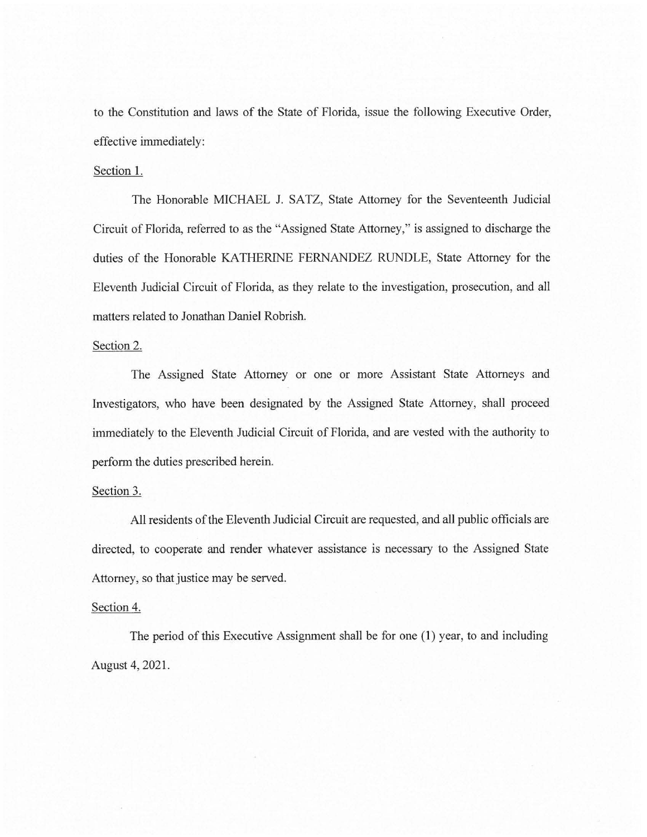to the Constitution and laws of the State of Florida, issue the following Executive Order, effective immediately:

### Section 1.

The Honorable MICHAEL J. SATZ, State Attorney for the Seventeenth Judicial Circuit of Florida, referred to as the "Assigned State Attorney," is assigned to discharge the duties of the Honorable KATHERINE FERNANDEZ RUNDLE, State Attorney for the Eleventh Judicial Circuit of Florida, as they relate to the investigation, prosecution, and all matters related to Jonathan Daniel Robrish.

#### Section 2.

The Assigned State Attorney or one or more Assistant State Attorneys and Investigators, who have been designated by the Assigned State Attorney, shall proceed immediately to the Eleventh Judicial Circuit of Florida, and are vested with the authority to perform the duties prescribed herein.

# Section 3.

All residents of the Eleventh Judicial Circuit are requested, and all public officials are directed, to cooperate and render whatever assistance is necessary to the Assigned State Attorney, so that justice may be served.

## Section 4.

The period of this Executive Assignment shall be for one (1) year, to and including August 4, 2021.